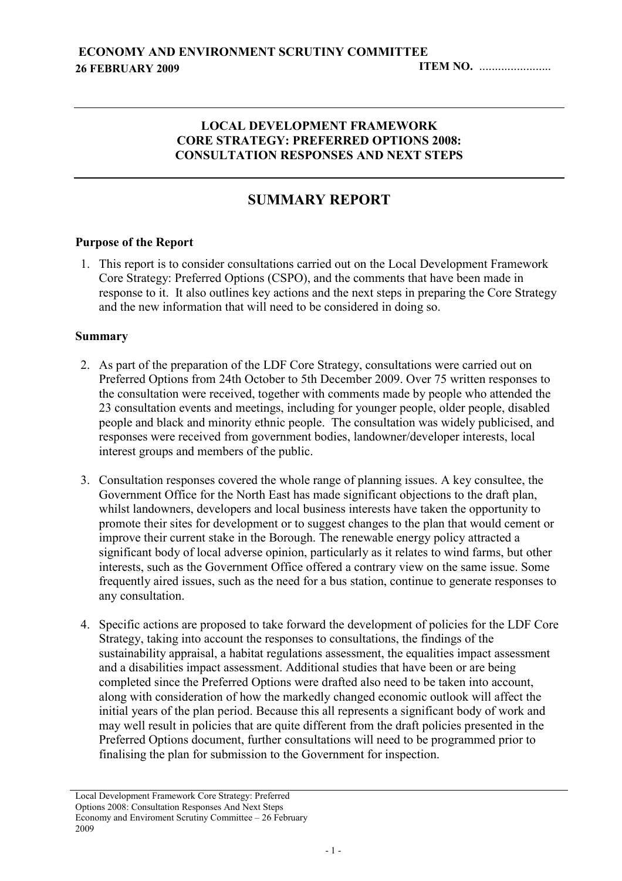#### LOCAL DEVELOPMENT FRAMEWORK CORE STRATEGY: PREFERRED OPTIONS 2008: CONSULTATION RESPONSES AND NEXT STEPS

# SUMMARY REPORT

#### Purpose of the Report

1. This report is to consider consultations carried out on the Local Development Framework Core Strategy: Preferred Options (CSPO), and the comments that have been made in response to it. It also outlines key actions and the next steps in preparing the Core Strategy and the new information that will need to be considered in doing so.

#### Summary

- 2. As part of the preparation of the LDF Core Strategy, consultations were carried out on Preferred Options from 24th October to 5th December 2009. Over 75 written responses to the consultation were received, together with comments made by people who attended the 23 consultation events and meetings, including for younger people, older people, disabled people and black and minority ethnic people. The consultation was widely publicised, and responses were received from government bodies, landowner/developer interests, local interest groups and members of the public.
- 3. Consultation responses covered the whole range of planning issues. A key consultee, the Government Office for the North East has made significant objections to the draft plan, whilst landowners, developers and local business interests have taken the opportunity to promote their sites for development or to suggest changes to the plan that would cement or improve their current stake in the Borough. The renewable energy policy attracted a significant body of local adverse opinion, particularly as it relates to wind farms, but other interests, such as the Government Office offered a contrary view on the same issue. Some frequently aired issues, such as the need for a bus station, continue to generate responses to any consultation.
- 4. Specific actions are proposed to take forward the development of policies for the LDF Core Strategy, taking into account the responses to consultations, the findings of the sustainability appraisal, a habitat regulations assessment, the equalities impact assessment and a disabilities impact assessment. Additional studies that have been or are being completed since the Preferred Options were drafted also need to be taken into account, along with consideration of how the markedly changed economic outlook will affect the initial years of the plan period. Because this all represents a significant body of work and may well result in policies that are quite different from the draft policies presented in the Preferred Options document, further consultations will need to be programmed prior to finalising the plan for submission to the Government for inspection.

Local Development Framework Core Strategy: Preferred Options 2008: Consultation Responses And Next Steps Economy and Enviroment Scrutiny Committee  $-26$  February 2009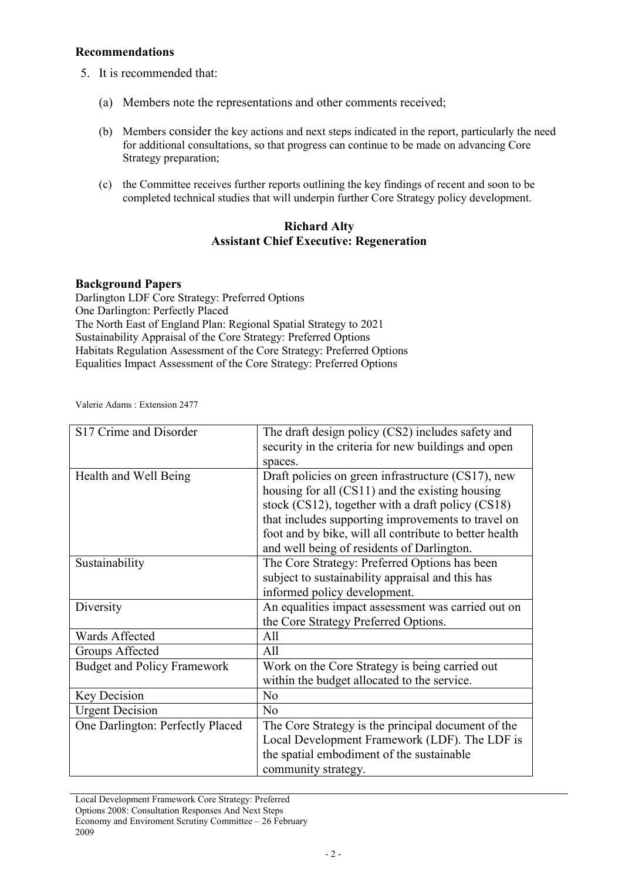#### Recommendations

- 5. It is recommended that:
	- (a) Members note the representations and other comments received;
	- (b) Members consider the key actions and next steps indicated in the report, particularly the need for additional consultations, so that progress can continue to be made on advancing Core Strategy preparation;
	- (c) the Committee receives further reports outlining the key findings of recent and soon to be completed technical studies that will underpin further Core Strategy policy development.

#### Richard Alty Assistant Chief Executive: Regeneration

#### Background Papers

Darlington LDF Core Strategy: Preferred Options One Darlington: Perfectly Placed The North East of England Plan: Regional Spatial Strategy to 2021 Sustainability Appraisal of the Core Strategy: Preferred Options Habitats Regulation Assessment of the Core Strategy: Preferred Options Equalities Impact Assessment of the Core Strategy: Preferred Options

Valerie Adams : Extension 2477

| S <sub>17</sub> Crime and Disorder | The draft design policy (CS2) includes safety and      |
|------------------------------------|--------------------------------------------------------|
|                                    | security in the criteria for new buildings and open    |
|                                    |                                                        |
|                                    | spaces.                                                |
| Health and Well Being              | Draft policies on green infrastructure (CS17), new     |
|                                    | housing for all (CS11) and the existing housing        |
|                                    | stock $(CS12)$ , together with a draft policy $(CS18)$ |
|                                    | that includes supporting improvements to travel on     |
|                                    | foot and by bike, will all contribute to better health |
|                                    | and well being of residents of Darlington.             |
| Sustainability                     | The Core Strategy: Preferred Options has been          |
|                                    | subject to sustainability appraisal and this has       |
|                                    | informed policy development.                           |
| Diversity                          | An equalities impact assessment was carried out on     |
|                                    | the Core Strategy Preferred Options.                   |
| Wards Affected                     | All                                                    |
| Groups Affected                    | All                                                    |
| <b>Budget and Policy Framework</b> | Work on the Core Strategy is being carried out         |
|                                    | within the budget allocated to the service.            |
| Key Decision                       | N <sub>0</sub>                                         |
| <b>Urgent Decision</b>             | N <sub>o</sub>                                         |
| One Darlington: Perfectly Placed   | The Core Strategy is the principal document of the     |
|                                    | Local Development Framework (LDF). The LDF is          |
|                                    | the spatial embodiment of the sustainable              |
|                                    | community strategy.                                    |

Local Development Framework Core Strategy: Preferred Options 2008: Consultation Responses And Next Steps Economy and Enviroment Scrutiny Committee – 26 February 2009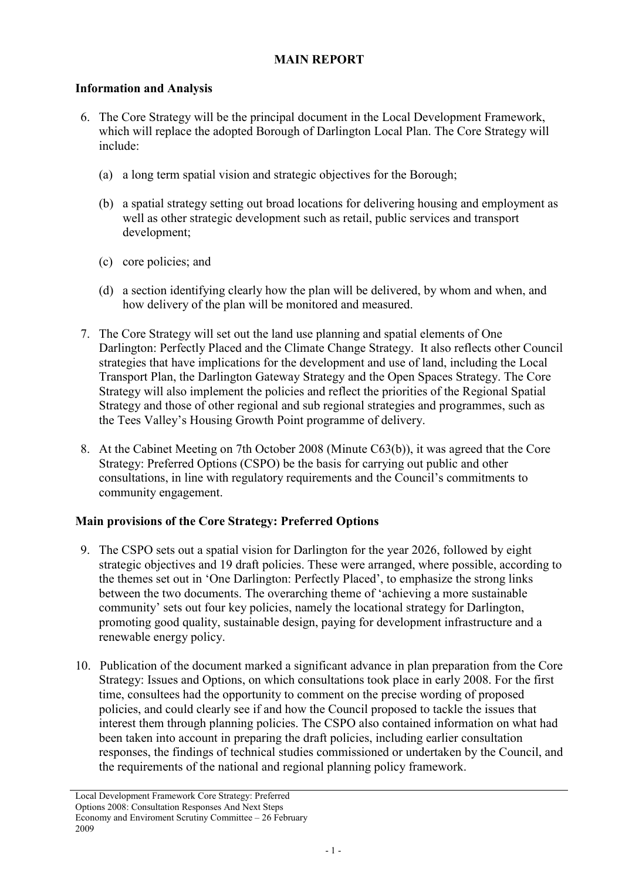## MAIN REPORT

## Information and Analysis

- 6. The Core Strategy will be the principal document in the Local Development Framework, which will replace the adopted Borough of Darlington Local Plan. The Core Strategy will include:
	- (a) a long term spatial vision and strategic objectives for the Borough;
	- (b) a spatial strategy setting out broad locations for delivering housing and employment as well as other strategic development such as retail, public services and transport development;
	- (c) core policies; and
	- (d) a section identifying clearly how the plan will be delivered, by whom and when, and how delivery of the plan will be monitored and measured.
- 7. The Core Strategy will set out the land use planning and spatial elements of One Darlington: Perfectly Placed and the Climate Change Strategy. It also reflects other Council strategies that have implications for the development and use of land, including the Local Transport Plan, the Darlington Gateway Strategy and the Open Spaces Strategy. The Core Strategy will also implement the policies and reflect the priorities of the Regional Spatial Strategy and those of other regional and sub regional strategies and programmes, such as the Tees Valley's Housing Growth Point programme of delivery.
- 8. At the Cabinet Meeting on 7th October 2008 (Minute C63(b)), it was agreed that the Core Strategy: Preferred Options (CSPO) be the basis for carrying out public and other consultations, in line with regulatory requirements and the Council's commitments to community engagement.

## Main provisions of the Core Strategy: Preferred Options

- 9. The CSPO sets out a spatial vision for Darlington for the year 2026, followed by eight strategic objectives and 19 draft policies. These were arranged, where possible, according to the themes set out in 'One Darlington: Perfectly Placed', to emphasize the strong links between the two documents. The overarching theme of 'achieving a more sustainable community' sets out four key policies, namely the locational strategy for Darlington, promoting good quality, sustainable design, paying for development infrastructure and a renewable energy policy.
- 10. Publication of the document marked a significant advance in plan preparation from the Core Strategy: Issues and Options, on which consultations took place in early 2008. For the first time, consultees had the opportunity to comment on the precise wording of proposed policies, and could clearly see if and how the Council proposed to tackle the issues that interest them through planning policies. The CSPO also contained information on what had been taken into account in preparing the draft policies, including earlier consultation responses, the findings of technical studies commissioned or undertaken by the Council, and the requirements of the national and regional planning policy framework.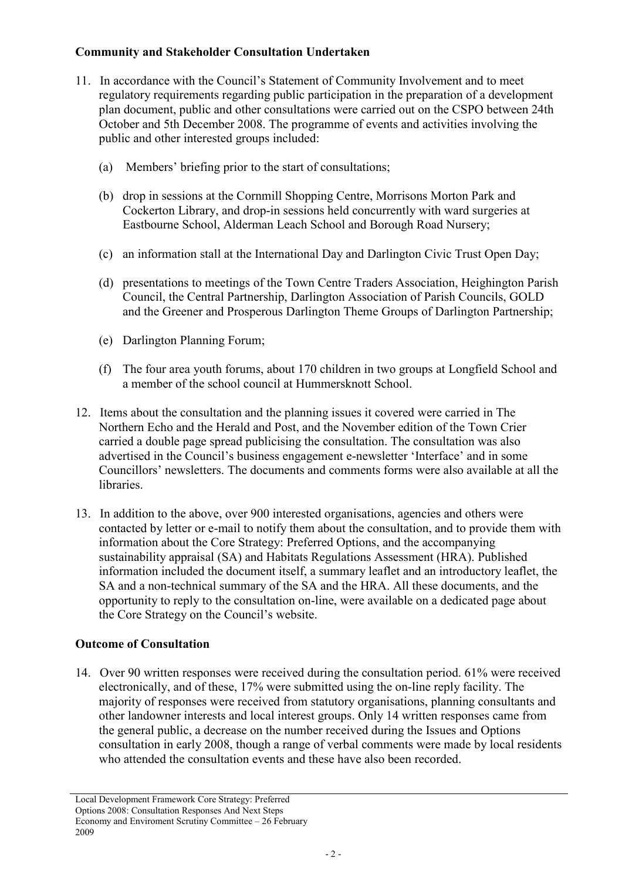## Community and Stakeholder Consultation Undertaken

- 11. In accordance with the Council's Statement of Community Involvement and to meet regulatory requirements regarding public participation in the preparation of a development plan document, public and other consultations were carried out on the CSPO between 24th October and 5th December 2008. The programme of events and activities involving the public and other interested groups included:
	- (a) Members' briefing prior to the start of consultations;
	- (b) drop in sessions at the Cornmill Shopping Centre, Morrisons Morton Park and Cockerton Library, and drop-in sessions held concurrently with ward surgeries at Eastbourne School, Alderman Leach School and Borough Road Nursery;
	- (c) an information stall at the International Day and Darlington Civic Trust Open Day;
	- (d) presentations to meetings of the Town Centre Traders Association, Heighington Parish Council, the Central Partnership, Darlington Association of Parish Councils, GOLD and the Greener and Prosperous Darlington Theme Groups of Darlington Partnership;
	- (e) Darlington Planning Forum;
	- (f) The four area youth forums, about 170 children in two groups at Longfield School and a member of the school council at Hummersknott School.
- 12. Items about the consultation and the planning issues it covered were carried in The Northern Echo and the Herald and Post, and the November edition of the Town Crier carried a double page spread publicising the consultation. The consultation was also advertised in the Council's business engagement e-newsletter 'Interface' and in some Councillors' newsletters. The documents and comments forms were also available at all the libraries.
- 13. In addition to the above, over 900 interested organisations, agencies and others were contacted by letter or e-mail to notify them about the consultation, and to provide them with information about the Core Strategy: Preferred Options, and the accompanying sustainability appraisal (SA) and Habitats Regulations Assessment (HRA). Published information included the document itself, a summary leaflet and an introductory leaflet, the SA and a non-technical summary of the SA and the HRA. All these documents, and the opportunity to reply to the consultation on-line, were available on a dedicated page about the Core Strategy on the Council's website.

## Outcome of Consultation

14. Over 90 written responses were received during the consultation period. 61% were received electronically, and of these, 17% were submitted using the on-line reply facility. The majority of responses were received from statutory organisations, planning consultants and other landowner interests and local interest groups. Only 14 written responses came from the general public, a decrease on the number received during the Issues and Options consultation in early 2008, though a range of verbal comments were made by local residents who attended the consultation events and these have also been recorded.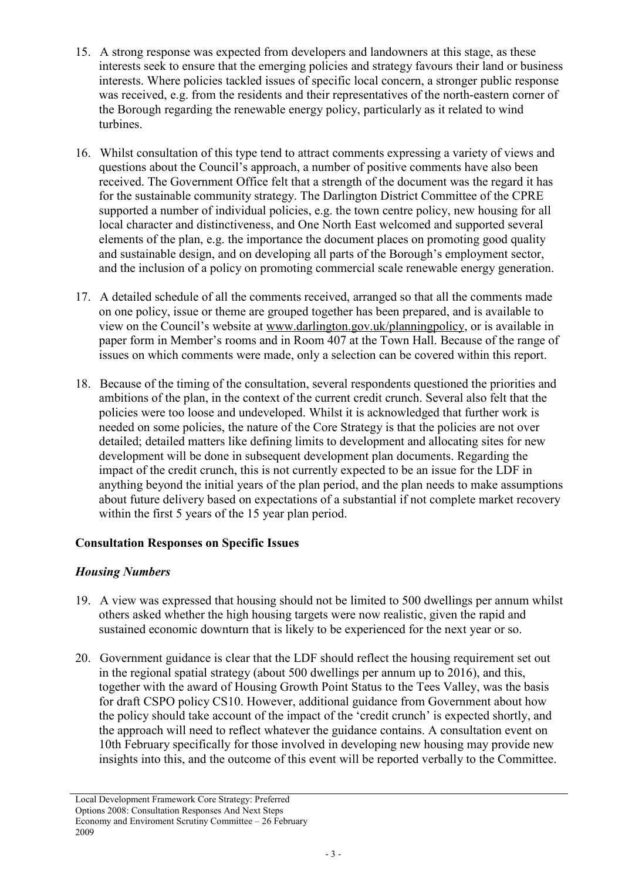- 15. A strong response was expected from developers and landowners at this stage, as these interests seek to ensure that the emerging policies and strategy favours their land or business interests. Where policies tackled issues of specific local concern, a stronger public response was received, e.g. from the residents and their representatives of the north-eastern corner of the Borough regarding the renewable energy policy, particularly as it related to wind turbines.
- 16. Whilst consultation of this type tend to attract comments expressing a variety of views and questions about the Council's approach, a number of positive comments have also been received. The Government Office felt that a strength of the document was the regard it has for the sustainable community strategy. The Darlington District Committee of the CPRE supported a number of individual policies, e.g. the town centre policy, new housing for all local character and distinctiveness, and One North East welcomed and supported several elements of the plan, e.g. the importance the document places on promoting good quality and sustainable design, and on developing all parts of the Borough's employment sector, and the inclusion of a policy on promoting commercial scale renewable energy generation.
- 17. A detailed schedule of all the comments received, arranged so that all the comments made on one policy, issue or theme are grouped together has been prepared, and is available to view on the Council's website at www.darlington.gov.uk/planningpolicy, or is available in paper form in Member's rooms and in Room 407 at the Town Hall. Because of the range of issues on which comments were made, only a selection can be covered within this report.
- 18. Because of the timing of the consultation, several respondents questioned the priorities and ambitions of the plan, in the context of the current credit crunch. Several also felt that the policies were too loose and undeveloped. Whilst it is acknowledged that further work is needed on some policies, the nature of the Core Strategy is that the policies are not over detailed; detailed matters like defining limits to development and allocating sites for new development will be done in subsequent development plan documents. Regarding the impact of the credit crunch, this is not currently expected to be an issue for the LDF in anything beyond the initial years of the plan period, and the plan needs to make assumptions about future delivery based on expectations of a substantial if not complete market recovery within the first 5 years of the 15 year plan period.

## Consultation Responses on Specific Issues

## Housing Numbers

- 19. A view was expressed that housing should not be limited to 500 dwellings per annum whilst others asked whether the high housing targets were now realistic, given the rapid and sustained economic downturn that is likely to be experienced for the next year or so.
- 20. Government guidance is clear that the LDF should reflect the housing requirement set out in the regional spatial strategy (about 500 dwellings per annum up to 2016), and this, together with the award of Housing Growth Point Status to the Tees Valley, was the basis for draft CSPO policy CS10. However, additional guidance from Government about how the policy should take account of the impact of the 'credit crunch' is expected shortly, and the approach will need to reflect whatever the guidance contains. A consultation event on 10th February specifically for those involved in developing new housing may provide new insights into this, and the outcome of this event will be reported verbally to the Committee.

Local Development Framework Core Strategy: Preferred Options 2008: Consultation Responses And Next Steps Economy and Enviroment Scrutiny Committee  $-26$  February 2009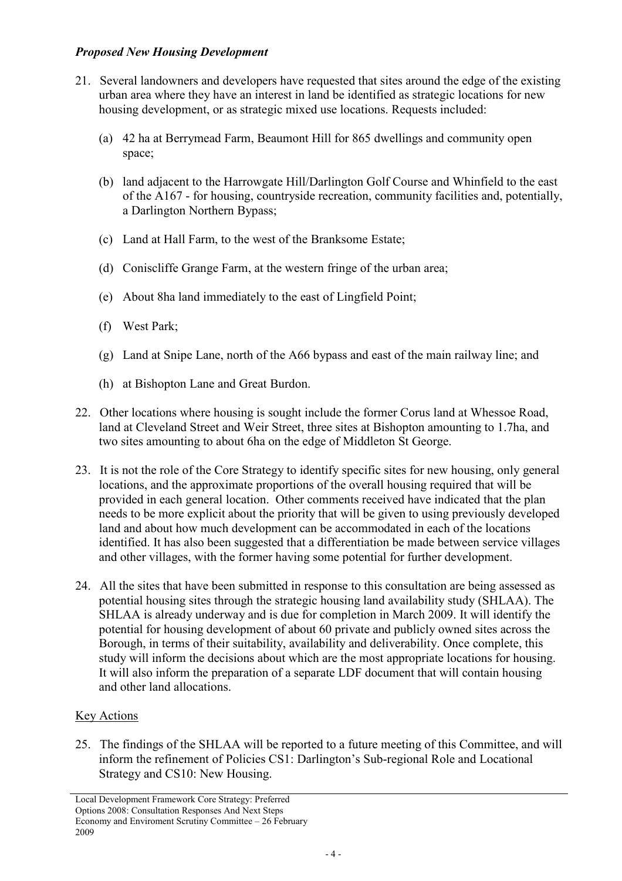#### Proposed New Housing Development

- 21. Several landowners and developers have requested that sites around the edge of the existing urban area where they have an interest in land be identified as strategic locations for new housing development, or as strategic mixed use locations. Requests included:
	- (a) 42 ha at Berrymead Farm, Beaumont Hill for 865 dwellings and community open space;
	- (b) land adjacent to the Harrowgate Hill/Darlington Golf Course and Whinfield to the east of the A167 - for housing, countryside recreation, community facilities and, potentially, a Darlington Northern Bypass;
	- (c) Land at Hall Farm, to the west of the Branksome Estate;
	- (d) Coniscliffe Grange Farm, at the western fringe of the urban area;
	- (e) About 8ha land immediately to the east of Lingfield Point;
	- (f) West Park;
	- (g) Land at Snipe Lane, north of the A66 bypass and east of the main railway line; and
	- (h) at Bishopton Lane and Great Burdon.
- 22. Other locations where housing is sought include the former Corus land at Whessoe Road, land at Cleveland Street and Weir Street, three sites at Bishopton amounting to 1.7ha, and two sites amounting to about 6ha on the edge of Middleton St George.
- 23. It is not the role of the Core Strategy to identify specific sites for new housing, only general locations, and the approximate proportions of the overall housing required that will be provided in each general location. Other comments received have indicated that the plan needs to be more explicit about the priority that will be given to using previously developed land and about how much development can be accommodated in each of the locations identified. It has also been suggested that a differentiation be made between service villages and other villages, with the former having some potential for further development.
- 24. All the sites that have been submitted in response to this consultation are being assessed as potential housing sites through the strategic housing land availability study (SHLAA). The SHLAA is already underway and is due for completion in March 2009. It will identify the potential for housing development of about 60 private and publicly owned sites across the Borough, in terms of their suitability, availability and deliverability. Once complete, this study will inform the decisions about which are the most appropriate locations for housing. It will also inform the preparation of a separate LDF document that will contain housing and other land allocations.

# Key Actions

25. The findings of the SHLAA will be reported to a future meeting of this Committee, and will inform the refinement of Policies CS1: Darlington's Sub-regional Role and Locational Strategy and CS10: New Housing.

Local Development Framework Core Strategy: Preferred Options 2008: Consultation Responses And Next Steps Economy and Enviroment Scrutiny Committee – 26 February 2009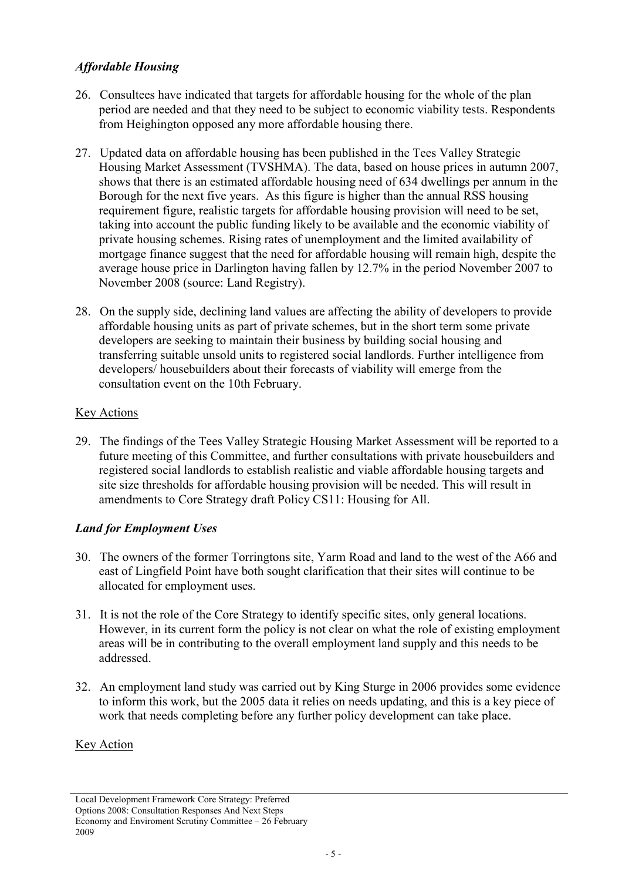## Affordable Housing

- 26. Consultees have indicated that targets for affordable housing for the whole of the plan period are needed and that they need to be subject to economic viability tests. Respondents from Heighington opposed any more affordable housing there.
- 27. Updated data on affordable housing has been published in the Tees Valley Strategic Housing Market Assessment (TVSHMA). The data, based on house prices in autumn 2007, shows that there is an estimated affordable housing need of 634 dwellings per annum in the Borough for the next five years. As this figure is higher than the annual RSS housing requirement figure, realistic targets for affordable housing provision will need to be set, taking into account the public funding likely to be available and the economic viability of private housing schemes. Rising rates of unemployment and the limited availability of mortgage finance suggest that the need for affordable housing will remain high, despite the average house price in Darlington having fallen by 12.7% in the period November 2007 to November 2008 (source: Land Registry).
- 28. On the supply side, declining land values are affecting the ability of developers to provide affordable housing units as part of private schemes, but in the short term some private developers are seeking to maintain their business by building social housing and transferring suitable unsold units to registered social landlords. Further intelligence from developers/ housebuilders about their forecasts of viability will emerge from the consultation event on the 10th February.

## Key Actions

29. The findings of the Tees Valley Strategic Housing Market Assessment will be reported to a future meeting of this Committee, and further consultations with private housebuilders and registered social landlords to establish realistic and viable affordable housing targets and site size thresholds for affordable housing provision will be needed. This will result in amendments to Core Strategy draft Policy CS11: Housing for All.

# Land for Employment Uses

- 30. The owners of the former Torringtons site, Yarm Road and land to the west of the A66 and east of Lingfield Point have both sought clarification that their sites will continue to be allocated for employment uses.
- 31. It is not the role of the Core Strategy to identify specific sites, only general locations. However, in its current form the policy is not clear on what the role of existing employment areas will be in contributing to the overall employment land supply and this needs to be addressed.
- 32. An employment land study was carried out by King Sturge in 2006 provides some evidence to inform this work, but the 2005 data it relies on needs updating, and this is a key piece of work that needs completing before any further policy development can take place.

## **Key Action**

Local Development Framework Core Strategy: Preferred Options 2008: Consultation Responses And Next Steps Economy and Enviroment Scrutiny Committee – 26 February 2009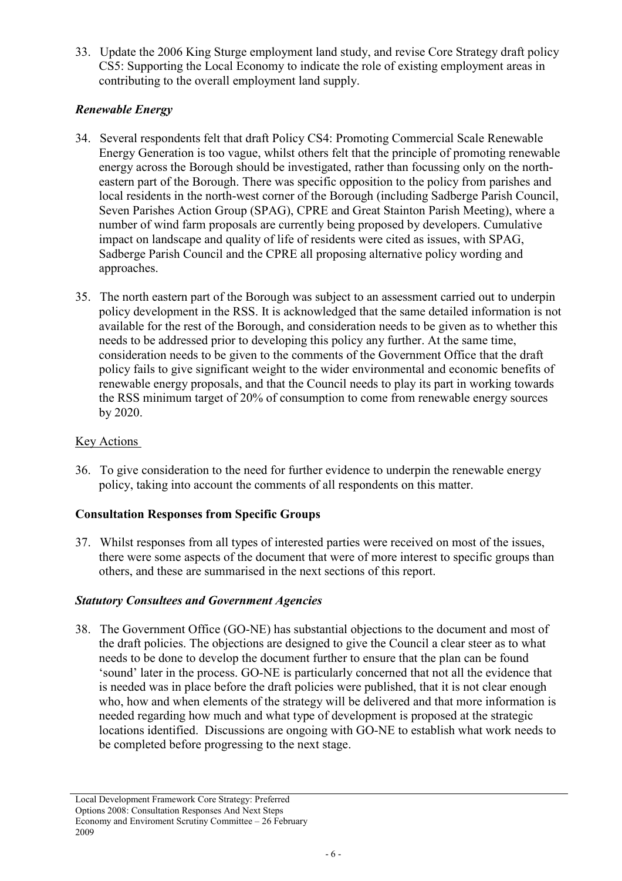33. Update the 2006 King Sturge employment land study, and revise Core Strategy draft policy CS5: Supporting the Local Economy to indicate the role of existing employment areas in contributing to the overall employment land supply.

## Renewable Energy

- 34. Several respondents felt that draft Policy CS4: Promoting Commercial Scale Renewable Energy Generation is too vague, whilst others felt that the principle of promoting renewable energy across the Borough should be investigated, rather than focussing only on the northeastern part of the Borough. There was specific opposition to the policy from parishes and local residents in the north-west corner of the Borough (including Sadberge Parish Council, Seven Parishes Action Group (SPAG), CPRE and Great Stainton Parish Meeting), where a number of wind farm proposals are currently being proposed by developers. Cumulative impact on landscape and quality of life of residents were cited as issues, with SPAG, Sadberge Parish Council and the CPRE all proposing alternative policy wording and approaches.
- 35. The north eastern part of the Borough was subject to an assessment carried out to underpin policy development in the RSS. It is acknowledged that the same detailed information is not available for the rest of the Borough, and consideration needs to be given as to whether this needs to be addressed prior to developing this policy any further. At the same time, consideration needs to be given to the comments of the Government Office that the draft policy fails to give significant weight to the wider environmental and economic benefits of renewable energy proposals, and that the Council needs to play its part in working towards the RSS minimum target of 20% of consumption to come from renewable energy sources by 2020.

#### **Key Actions**

36. To give consideration to the need for further evidence to underpin the renewable energy policy, taking into account the comments of all respondents on this matter.

## Consultation Responses from Specific Groups

37. Whilst responses from all types of interested parties were received on most of the issues, there were some aspects of the document that were of more interest to specific groups than others, and these are summarised in the next sections of this report.

## Statutory Consultees and Government Agencies

38. The Government Office (GO-NE) has substantial objections to the document and most of the draft policies. The objections are designed to give the Council a clear steer as to what needs to be done to develop the document further to ensure that the plan can be found 'sound' later in the process. GO-NE is particularly concerned that not all the evidence that is needed was in place before the draft policies were published, that it is not clear enough who, how and when elements of the strategy will be delivered and that more information is needed regarding how much and what type of development is proposed at the strategic locations identified. Discussions are ongoing with GO-NE to establish what work needs to be completed before progressing to the next stage.

Local Development Framework Core Strategy: Preferred Options 2008: Consultation Responses And Next Steps Economy and Enviroment Scrutiny Committee – 26 February 2009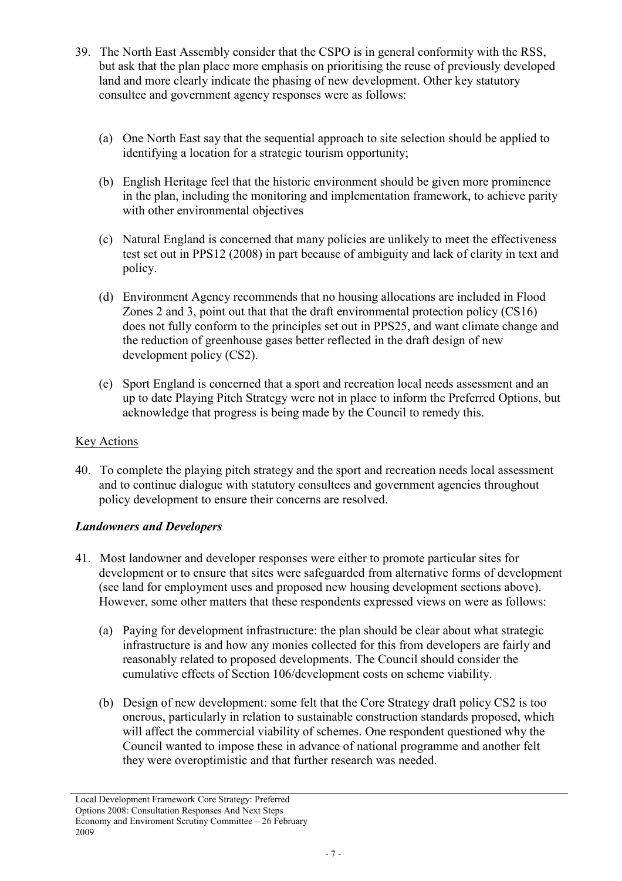- 39. The North East Assembly consider that the CSPO is in general conformity with the RSS, but ask that the plan place more emphasis on prioritising the reuse of previously developed land and more clearly indicate the phasing of new development. Other key statutory consultee and government agency responses were as follows:
	- (a) One North East say that the sequential approach to site selection should be applied to identifying a location for a strategic tourism opportunity;
	- (b) English Heritage feel that the historic environment should be given more prominence in the plan, including the monitoring and implementation framework, to achieve parity with other environmental objectives
	- (c) Natural England is concerned that many policies are unlikely to meet the effectiveness test set out in PPS12 (2008) in part because of ambiguity and lack of clarity in text and policy.
	- (d) Environment Agency recommends that no housing allocations are included in Flood Zones 2 and 3, point out that that the draft environmental protection policy (CS16) does not fully conform to the principles set out in PPS25, and want climate change and the reduction of greenhouse gases better reflected in the draft design of new development policy (CS2).
	- (e) Sport England is concerned that a sport and recreation local needs assessment and an up to date Playing Pitch Strategy were not in place to inform the Preferred Options, but acknowledge that progress is being made by the Council to remedy this.

#### **Key Actions**

40. To complete the playing pitch strategy and the sport and recreation needs local assessment and to continue dialogue with statutory consultees and government agencies throughout policy development to ensure their concerns are resolved.

#### Landowners and Developers

- 41. Most landowner and developer responses were either to promote particular sites for development or to ensure that sites were safeguarded from alternative forms of development (see land for employment uses and proposed new housing development sections above). However, some other matters that these respondents expressed views on were as follows:
	- (a) Paying for development infrastructure: the plan should be clear about what strategic infrastructure is and how any monies collected for this from developers are fairly and reasonably related to proposed developments. The Council should consider the cumulative effects of Section 106/development costs on scheme viability.
	- (b) Design of new development: some felt that the Core Strategy draft policy CS2 is too onerous, particularly in relation to sustainable construction standards proposed, which will affect the commercial viability of schemes. One respondent questioned why the Council wanted to impose these in advance of national programme and another felt they were overoptimistic and that further research was needed.

Local Development Framework Core Strategy: Preferred Options 2008: Consultation Responses And Next Steps Economy and Enviroment Scrutiny Committee – 26 February 2009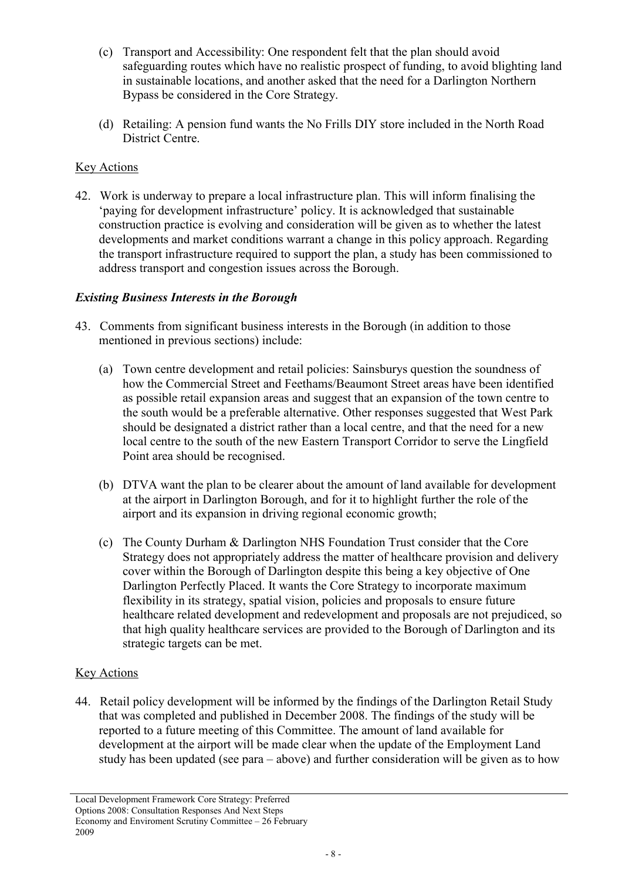- (c) Transport and Accessibility: One respondent felt that the plan should avoid safeguarding routes which have no realistic prospect of funding, to avoid blighting land in sustainable locations, and another asked that the need for a Darlington Northern Bypass be considered in the Core Strategy.
- (d) Retailing: A pension fund wants the No Frills DIY store included in the North Road District Centre.

## Key Actions

42. Work is underway to prepare a local infrastructure plan. This will inform finalising the 'paying for development infrastructure' policy. It is acknowledged that sustainable construction practice is evolving and consideration will be given as to whether the latest developments and market conditions warrant a change in this policy approach. Regarding the transport infrastructure required to support the plan, a study has been commissioned to address transport and congestion issues across the Borough.

#### Existing Business Interests in the Borough

- 43. Comments from significant business interests in the Borough (in addition to those mentioned in previous sections) include:
	- (a) Town centre development and retail policies: Sainsburys question the soundness of how the Commercial Street and Feethams/Beaumont Street areas have been identified as possible retail expansion areas and suggest that an expansion of the town centre to the south would be a preferable alternative. Other responses suggested that West Park should be designated a district rather than a local centre, and that the need for a new local centre to the south of the new Eastern Transport Corridor to serve the Lingfield Point area should be recognised.
	- (b) DTVA want the plan to be clearer about the amount of land available for development at the airport in Darlington Borough, and for it to highlight further the role of the airport and its expansion in driving regional economic growth;
	- (c) The County Durham & Darlington NHS Foundation Trust consider that the Core Strategy does not appropriately address the matter of healthcare provision and delivery cover within the Borough of Darlington despite this being a key objective of One Darlington Perfectly Placed. It wants the Core Strategy to incorporate maximum flexibility in its strategy, spatial vision, policies and proposals to ensure future healthcare related development and redevelopment and proposals are not prejudiced, so that high quality healthcare services are provided to the Borough of Darlington and its strategic targets can be met.

## Key Actions

44. Retail policy development will be informed by the findings of the Darlington Retail Study that was completed and published in December 2008. The findings of the study will be reported to a future meeting of this Committee. The amount of land available for development at the airport will be made clear when the update of the Employment Land study has been updated (see para – above) and further consideration will be given as to how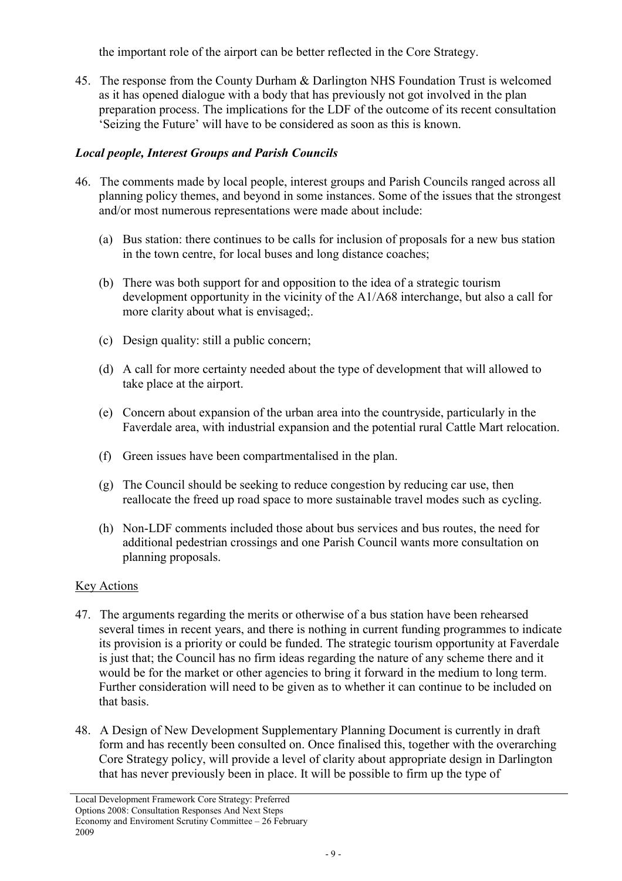the important role of the airport can be better reflected in the Core Strategy.

45. The response from the County Durham & Darlington NHS Foundation Trust is welcomed as it has opened dialogue with a body that has previously not got involved in the plan preparation process. The implications for the LDF of the outcome of its recent consultation 'Seizing the Future' will have to be considered as soon as this is known.

## Local people, Interest Groups and Parish Councils

- 46. The comments made by local people, interest groups and Parish Councils ranged across all planning policy themes, and beyond in some instances. Some of the issues that the strongest and/or most numerous representations were made about include:
	- (a) Bus station: there continues to be calls for inclusion of proposals for a new bus station in the town centre, for local buses and long distance coaches;
	- (b) There was both support for and opposition to the idea of a strategic tourism development opportunity in the vicinity of the A1/A68 interchange, but also a call for more clarity about what is envisaged;.
	- (c) Design quality: still a public concern;
	- (d) A call for more certainty needed about the type of development that will allowed to take place at the airport.
	- (e) Concern about expansion of the urban area into the countryside, particularly in the Faverdale area, with industrial expansion and the potential rural Cattle Mart relocation.
	- (f) Green issues have been compartmentalised in the plan.
	- (g) The Council should be seeking to reduce congestion by reducing car use, then reallocate the freed up road space to more sustainable travel modes such as cycling.
	- (h) Non-LDF comments included those about bus services and bus routes, the need for additional pedestrian crossings and one Parish Council wants more consultation on planning proposals.

## Key Actions

- 47. The arguments regarding the merits or otherwise of a bus station have been rehearsed several times in recent years, and there is nothing in current funding programmes to indicate its provision is a priority or could be funded. The strategic tourism opportunity at Faverdale is just that; the Council has no firm ideas regarding the nature of any scheme there and it would be for the market or other agencies to bring it forward in the medium to long term. Further consideration will need to be given as to whether it can continue to be included on that basis.
- 48. A Design of New Development Supplementary Planning Document is currently in draft form and has recently been consulted on. Once finalised this, together with the overarching Core Strategy policy, will provide a level of clarity about appropriate design in Darlington that has never previously been in place. It will be possible to firm up the type of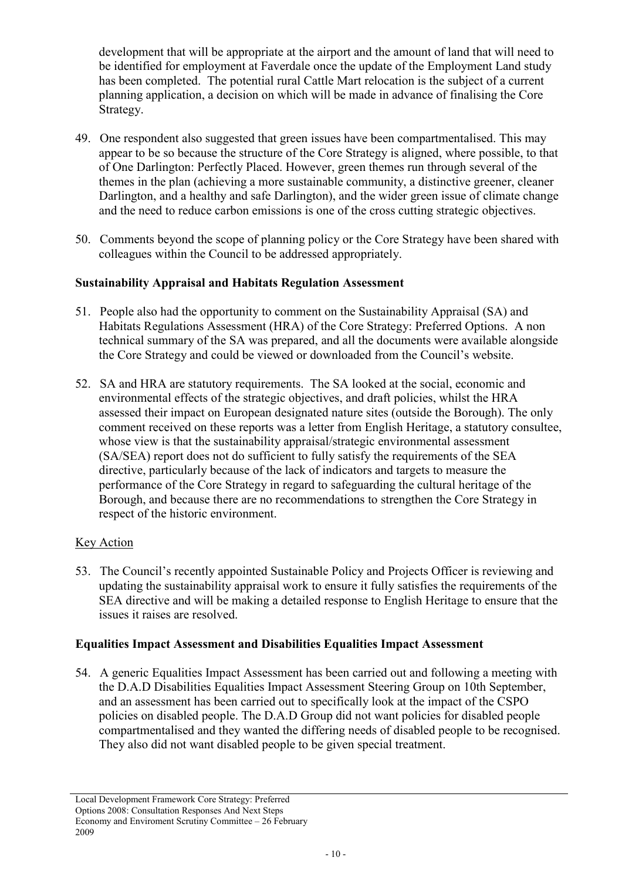development that will be appropriate at the airport and the amount of land that will need to be identified for employment at Faverdale once the update of the Employment Land study has been completed. The potential rural Cattle Mart relocation is the subject of a current planning application, a decision on which will be made in advance of finalising the Core Strategy.

- 49. One respondent also suggested that green issues have been compartmentalised. This may appear to be so because the structure of the Core Strategy is aligned, where possible, to that of One Darlington: Perfectly Placed. However, green themes run through several of the themes in the plan (achieving a more sustainable community, a distinctive greener, cleaner Darlington, and a healthy and safe Darlington), and the wider green issue of climate change and the need to reduce carbon emissions is one of the cross cutting strategic objectives.
- 50. Comments beyond the scope of planning policy or the Core Strategy have been shared with colleagues within the Council to be addressed appropriately.

#### Sustainability Appraisal and Habitats Regulation Assessment

- 51. People also had the opportunity to comment on the Sustainability Appraisal (SA) and Habitats Regulations Assessment (HRA) of the Core Strategy: Preferred Options. A non technical summary of the SA was prepared, and all the documents were available alongside the Core Strategy and could be viewed or downloaded from the Council's website.
- 52. SA and HRA are statutory requirements. The SA looked at the social, economic and environmental effects of the strategic objectives, and draft policies, whilst the HRA assessed their impact on European designated nature sites (outside the Borough). The only comment received on these reports was a letter from English Heritage, a statutory consultee, whose view is that the sustainability appraisal/strategic environmental assessment (SA/SEA) report does not do sufficient to fully satisfy the requirements of the SEA directive, particularly because of the lack of indicators and targets to measure the performance of the Core Strategy in regard to safeguarding the cultural heritage of the Borough, and because there are no recommendations to strengthen the Core Strategy in respect of the historic environment.

## **Key Action**

53. The Council's recently appointed Sustainable Policy and Projects Officer is reviewing and updating the sustainability appraisal work to ensure it fully satisfies the requirements of the SEA directive and will be making a detailed response to English Heritage to ensure that the issues it raises are resolved.

#### Equalities Impact Assessment and Disabilities Equalities Impact Assessment

54. A generic Equalities Impact Assessment has been carried out and following a meeting with the D.A.D Disabilities Equalities Impact Assessment Steering Group on 10th September, and an assessment has been carried out to specifically look at the impact of the CSPO policies on disabled people. The D.A.D Group did not want policies for disabled people compartmentalised and they wanted the differing needs of disabled people to be recognised. They also did not want disabled people to be given special treatment.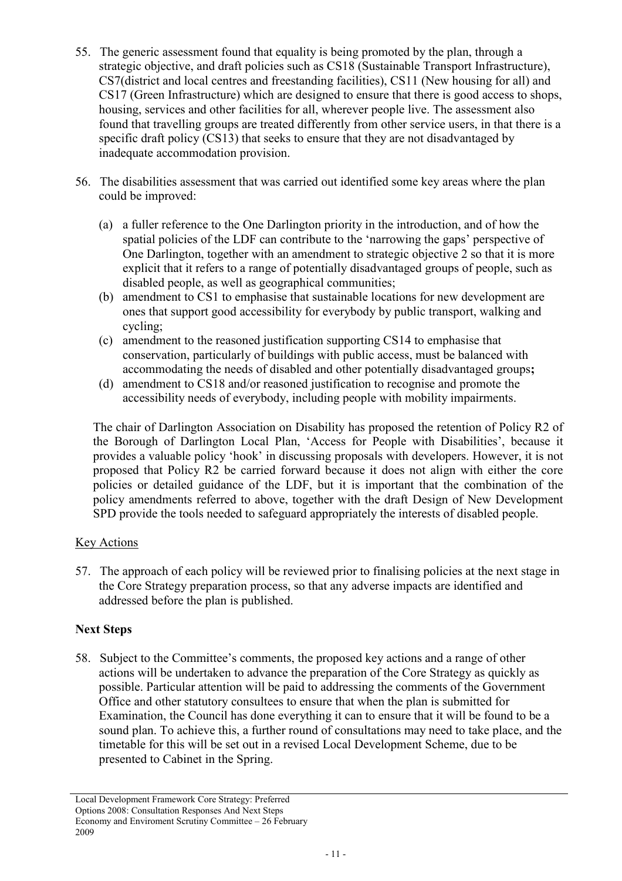- 55. The generic assessment found that equality is being promoted by the plan, through a strategic objective, and draft policies such as CS18 (Sustainable Transport Infrastructure), CS7(district and local centres and freestanding facilities), CS11 (New housing for all) and CS17 (Green Infrastructure) which are designed to ensure that there is good access to shops, housing, services and other facilities for all, wherever people live. The assessment also found that travelling groups are treated differently from other service users, in that there is a specific draft policy (CS13) that seeks to ensure that they are not disadvantaged by inadequate accommodation provision.
- 56. The disabilities assessment that was carried out identified some key areas where the plan could be improved:
	- (a) a fuller reference to the One Darlington priority in the introduction, and of how the spatial policies of the LDF can contribute to the 'narrowing the gaps' perspective of One Darlington, together with an amendment to strategic objective 2 so that it is more explicit that it refers to a range of potentially disadvantaged groups of people, such as disabled people, as well as geographical communities;
	- (b) amendment to CS1 to emphasise that sustainable locations for new development are ones that support good accessibility for everybody by public transport, walking and cycling;
	- (c) amendment to the reasoned justification supporting CS14 to emphasise that conservation, particularly of buildings with public access, must be balanced with accommodating the needs of disabled and other potentially disadvantaged groups;
	- (d) amendment to CS18 and/or reasoned justification to recognise and promote the accessibility needs of everybody, including people with mobility impairments.

The chair of Darlington Association on Disability has proposed the retention of Policy R2 of the Borough of Darlington Local Plan, 'Access for People with Disabilities', because it provides a valuable policy 'hook' in discussing proposals with developers. However, it is not proposed that Policy R2 be carried forward because it does not align with either the core policies or detailed guidance of the LDF, but it is important that the combination of the policy amendments referred to above, together with the draft Design of New Development SPD provide the tools needed to safeguard appropriately the interests of disabled people.

## Key Actions

57. The approach of each policy will be reviewed prior to finalising policies at the next stage in the Core Strategy preparation process, so that any adverse impacts are identified and addressed before the plan is published.

#### Next Steps

58. Subject to the Committee's comments, the proposed key actions and a range of other actions will be undertaken to advance the preparation of the Core Strategy as quickly as possible. Particular attention will be paid to addressing the comments of the Government Office and other statutory consultees to ensure that when the plan is submitted for Examination, the Council has done everything it can to ensure that it will be found to be a sound plan. To achieve this, a further round of consultations may need to take place, and the timetable for this will be set out in a revised Local Development Scheme, due to be presented to Cabinet in the Spring.

Local Development Framework Core Strategy: Preferred Options 2008: Consultation Responses And Next Steps Economy and Enviroment Scrutiny Committee – 26 February 2009